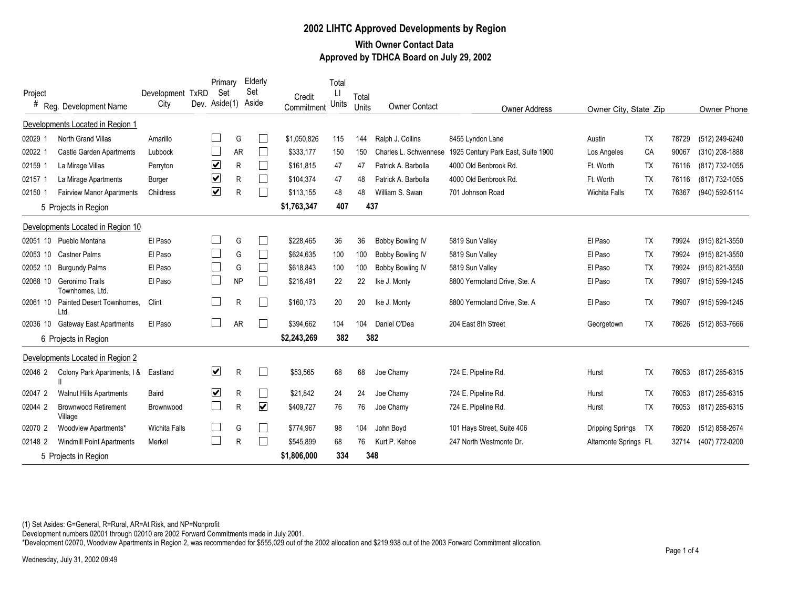## **2002 LIHTC Approved Developments by Region With Owner Contact Data Approved by TDHCA Board on July 29, 2002**

| Project                    |                                        | Development TxRD<br>City | Primary<br>Set<br>Dev. Aside(1) |           | Elderly<br>Set<br>Aside | Credit      | Total<br>IJ<br>Units | Total |                       |                                    |                      |                       |       |                |  |
|----------------------------|----------------------------------------|--------------------------|---------------------------------|-----------|-------------------------|-------------|----------------------|-------|-----------------------|------------------------------------|----------------------|-----------------------|-------|----------------|--|
| #<br>Reg. Development Name |                                        |                          |                                 |           |                         | Commitment  |                      | Units | <b>Owner Contact</b>  | <b>Owner Address</b>               |                      | Owner City, State Zip |       |                |  |
|                            | Developments Located in Region 1       |                          |                                 |           |                         |             |                      |       |                       |                                    |                      |                       |       |                |  |
| 02029 1                    | North Grand Villas                     | Amarillo                 |                                 | G         |                         | \$1,050,826 | 115                  | 144   | Ralph J. Collins      | 8455 Lyndon Lane                   | Austin               | <b>TX</b>             | 78729 | (512) 249-6240 |  |
| 02022 1                    | Castle Garden Apartments               | Lubbock                  |                                 | <b>AR</b> |                         | \$333.177   | 150                  | 150   | Charles L. Schwennese | 1925 Century Park East, Suite 1900 | Los Angeles          | CA                    | 90067 | (310) 208-1888 |  |
| 02159 1                    | La Mirage Villas                       | Perryton                 | ☑                               | R         | $\Box$                  | \$161,815   | 47                   | 47    | Patrick A. Barbolla   | 4000 Old Benbrook Rd.              | Ft. Worth            | <b>TX</b>             | 76116 | (817) 732-1055 |  |
| 02157 1                    | La Mirage Apartments                   | Borger                   | ☑                               | R         | $\Box$                  | \$104.374   | 47                   | 48    | Patrick A. Barbolla   | 4000 Old Benbrook Rd.              | Ft. Worth            | <b>TX</b>             | 76116 | (817) 732-1055 |  |
| 02150 1                    | <b>Fairview Manor Apartments</b>       | Childress                | ☑                               | R         | $\Box$                  | \$113,155   | 48                   | 48    | William S. Swan       | 701 Johnson Road                   | <b>Wichita Falls</b> | <b>TX</b>             | 76367 | (940) 592-5114 |  |
|                            | 5 Projects in Region                   |                          |                                 |           |                         | \$1,763,347 | 407                  |       | 437                   |                                    |                      |                       |       |                |  |
|                            | Developments Located in Region 10      |                          |                                 |           |                         |             |                      |       |                       |                                    |                      |                       |       |                |  |
| 02051 10                   | Pueblo Montana                         | El Paso                  |                                 | G         |                         | \$228.465   | 36                   | 36    | Bobby Bowling IV      | 5819 Sun Valley                    | El Paso              | <b>TX</b>             | 79924 | (915) 821-3550 |  |
| 02053 10                   | Castner Palms                          | El Paso                  | $\Box$                          | G         | $\Box$                  | \$624,635   | 100                  | 100   | Bobby Bowling IV      | 5819 Sun Valley                    | El Paso              | <b>TX</b>             | 79924 | (915) 821-3550 |  |
| 02052 10                   | <b>Burgundy Palms</b>                  | El Paso                  | L                               | G         |                         | \$618,843   | 100                  | 100   | Bobby Bowling IV      | 5819 Sun Valley                    | El Paso              | <b>TX</b>             | 79924 | (915) 821-3550 |  |
| 02068 10                   | Geronimo Trails<br>Townhomes, Ltd.     | El Paso                  | L                               | <b>NP</b> |                         | \$216,491   | 22                   | 22    | Ike J. Monty          | 8800 Yermoland Drive, Ste. A       | El Paso              | <b>TX</b>             | 79907 | (915) 599-1245 |  |
| 02061 10                   | Painted Desert Townhomes.<br>Ltd.      | Clint                    |                                 | R         |                         | \$160.173   | 20                   | 20    | Ike J. Monty          | 8800 Yermoland Drive, Ste. A       | El Paso              | <b>TX</b>             | 79907 | (915) 599-1245 |  |
| 02036 10                   | <b>Gateway East Apartments</b>         | El Paso                  |                                 | <b>AR</b> |                         | \$394,662   | 104                  | 104   | Daniel O'Dea          | 204 East 8th Street                | Georgetown           | <b>TX</b>             | 78626 | (512) 863-7666 |  |
|                            | 6 Projects in Region                   |                          |                                 |           |                         | \$2,243,269 | 382                  |       | 382                   |                                    |                      |                       |       |                |  |
|                            | Developments Located in Region 2       |                          |                                 |           |                         |             |                      |       |                       |                                    |                      |                       |       |                |  |
| 02046 2                    | Colony Park Apartments, I &            | Eastland                 | $\blacktriangledown$            | R         | $\Box$                  | \$53,565    | 68                   | 68    | Joe Chamy             | 724 E. Pipeline Rd.                | Hurst                | TX                    | 76053 | (817) 285-6315 |  |
| 02047 2                    | <b>Walnut Hills Apartments</b>         | Baird                    | ☑                               | R         | $\Box$                  | \$21,842    | 24                   | 24    | Joe Chamy             | 724 E. Pipeline Rd.                | Hurst                | <b>TX</b>             | 76053 | (817) 285-6315 |  |
| 02044 2                    | <b>Brownwood Retirement</b><br>Village | Brownwood                | $\Box$                          | R         | $\blacktriangledown$    | \$409,727   | 76                   | 76    | Joe Chamy             | 724 E. Pipeline Rd.                | Hurst                | <b>TX</b>             | 76053 | (817) 285-6315 |  |
| 02070 2                    | Woodview Apartments*                   | <b>Wichita Falls</b>     |                                 | G         |                         | \$774,967   | 98                   | 104   | John Boyd             | 101 Hays Street, Suite 406         | Dripping Springs     | TX                    | 78620 | (512) 858-2674 |  |
| 02148 2                    | <b>Windmill Point Apartments</b>       | Merkel                   |                                 | R         |                         | \$545,899   | 68                   | 76    | Kurt P. Kehoe         | 247 North Westmonte Dr.            | Altamonte Springs FL |                       | 32714 | (407) 772-0200 |  |
| 5 Projects in Region       |                                        |                          |                                 |           |                         | \$1,806,000 | 334                  |       | 348                   |                                    |                      |                       |       |                |  |

(1) Set Asides: G=General, R=Rural, AR=At Risk, and NP=Nonprofit

Development numbers 02001 through 02010 are 2002 Forward Commitments made in July 2001.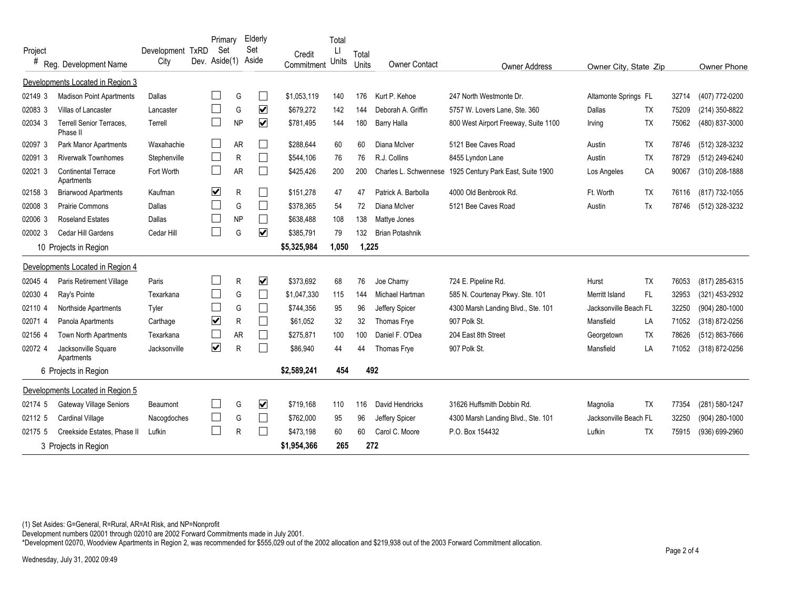| Project               |                                             | Development TxRD | Primary<br>Set          |              | Elderly<br>Set          |                      | Total<br>П |                |                        |                                      |                       |           |       |                |
|-----------------------|---------------------------------------------|------------------|-------------------------|--------------|-------------------------|----------------------|------------|----------------|------------------------|--------------------------------------|-----------------------|-----------|-------|----------------|
| #                     | Reg. Development Name                       | City             | Dev. Aside(1)           |              | Aside                   | Credit<br>Commitment | Units      | Total<br>Units | <b>Owner Contact</b>   | <b>Owner Address</b>                 | Owner City, State Zip |           |       | Owner Phone    |
|                       | Developments Located in Region 3            |                  |                         |              |                         |                      |            |                |                        |                                      |                       |           |       |                |
| 02149 3               | <b>Madison Point Apartments</b>             | Dallas           |                         | G            |                         | \$1,053,119          | 140        | 176            | Kurt P. Kehoe          | 247 North Westmonte Dr.              | Altamonte Springs FL  |           | 32714 | (407) 772-0200 |
| 02083 3               | Villas of Lancaster                         | Lancaster        |                         | G            | $\overline{\mathbf{v}}$ | \$679,272            | 142        | 144            | Deborah A. Griffin     | 5757 W. Lovers Lane, Ste. 360        | Dallas                | TX        | 75209 | (214) 350-8822 |
| 02034 3               | <b>Terrell Senior Terraces,</b><br>Phase II | Terrell          |                         | <b>NP</b>    | $\overline{\mathbf{v}}$ | \$781,495            | 144        | 180            | <b>Barry Halla</b>     | 800 West Airport Freeway, Suite 1100 | Irving                | <b>TX</b> | 75062 | (480) 837-3000 |
| 02097 3               | <b>Park Manor Apartments</b>                | Waxahachie       |                         | <b>AR</b>    |                         | \$288.644            | 60         | 60             | Diana McIver           | 5121 Bee Caves Road                  | Austin                | <b>TX</b> | 78746 | (512) 328-3232 |
| 02091 3               | <b>Riverwalk Townhomes</b>                  | Stephenville     |                         | R            |                         | \$544,106            | 76         | 76             | R.J. Collins           | 8455 Lyndon Lane                     | Austin                | <b>TX</b> | 78729 | (512) 249-6240 |
| 02021 3               | <b>Continental Terrace</b><br>Apartments    | Fort Worth       | ப                       | <b>AR</b>    |                         | \$425,426            | 200        | 200            | Charles L. Schwennese  | 1925 Century Park East, Suite 1900   | Los Angeles           | CA        | 90067 | (310) 208-1888 |
| 02158 3               | <b>Briarwood Apartments</b>                 | Kaufman          | $\overline{\mathbf{v}}$ | $\mathsf{R}$ |                         | \$151,278            | 47         | 47             | Patrick A. Barbolla    | 4000 Old Benbrook Rd.                | Ft. Worth             | <b>TX</b> | 76116 | (817) 732-1055 |
| 02008 3               | <b>Prairie Commons</b>                      | Dallas           |                         | G            | $\Box$                  | \$378,365            | 54         | 72             | Diana McIver           | 5121 Bee Caves Road                  | Austin                | Tx        | 78746 | (512) 328-3232 |
| 02006 3               | <b>Roseland Estates</b>                     | Dallas           |                         | <b>NP</b>    |                         | \$638,488            | 108        | 138            | Mattye Jones           |                                      |                       |           |       |                |
| 02002 3               | Cedar Hill Gardens                          | Cedar Hill       | $\mathcal{L}$           | G            | $\overline{\mathbf{v}}$ | \$385,791            | 79         | 132            | <b>Brian Potashnik</b> |                                      |                       |           |       |                |
| 10 Projects in Region |                                             |                  |                         |              | \$5,325,984             | 1,050                | 1,225      |                |                        |                                      |                       |           |       |                |
|                       | Developments Located in Region 4            |                  |                         |              |                         |                      |            |                |                        |                                      |                       |           |       |                |
| 02045 4               | Paris Retirement Village                    | Paris            |                         | R            | $\overline{\mathbf{v}}$ | \$373.692            | 68         | 76             | Joe Chamy              | 724 E. Pipeline Rd.                  | Hurst                 | <b>TX</b> | 76053 | (817) 285-6315 |
| 02030 4               | Ray's Pointe                                | Texarkana        |                         | G            |                         | \$1,047,330          | 115        | 144            | Michael Hartman        | 585 N. Courtenay Pkwy. Ste. 101      | Merritt Island        | <b>FL</b> | 32953 | (321) 453-2932 |
| 02110 4               | Northside Apartments                        | Tyler            |                         | G            | $\Box$                  | \$744,356            | 95         | 96             | Jeffery Spicer         | 4300 Marsh Landing Blvd., Ste. 101   | Jacksonville Beach FL |           | 32250 | (904) 280-1000 |
| 020714                | Panola Apartments                           | Carthage         | ☑                       | R            |                         | \$61.052             | 32         | 32             | Thomas Frye            | 907 Polk St.                         | Mansfield             | LA        | 71052 | (318) 872-0256 |
| 02156 4               | <b>Town North Apartments</b>                | Texarkana        |                         | <b>AR</b>    |                         | \$275.871            | 100        | 100            | Daniel F. O'Dea        | 204 East 8th Street                  | Georgetown            | <b>TX</b> | 78626 | (512) 863-7666 |
| 02072 4               | Jacksonville Square<br>Apartments           | Jacksonville     | $\overline{\mathbf{v}}$ | R            |                         | \$86,940             | 44         | 44             | Thomas Frye            | 907 Polk St.                         | Mansfield             | LA        | 71052 | (318) 872-0256 |
|                       | 6 Projects in Region                        |                  |                         |              |                         | \$2,589,241          | 454        |                | 492                    |                                      |                       |           |       |                |
|                       | Developments Located in Region 5            |                  |                         |              |                         |                      |            |                |                        |                                      |                       |           |       |                |
| 02174 5               | Gateway Village Seniors                     | Beaumont         |                         | G            | $\blacktriangledown$    | \$719,168            | 110        | 116            | David Hendricks        | 31626 Huffsmith Dobbin Rd.           | Magnolia              | <b>TX</b> | 77354 | (281) 580-1247 |
| 02112 5               | <b>Cardinal Village</b>                     | Nacogdoches      | $\mathbf{L}$            | G            |                         | \$762,000            | 95         | 96             | Jeffery Spicer         | 4300 Marsh Landing Blvd., Ste. 101   | Jacksonville Beach FL |           | 32250 | (904) 280-1000 |
| 02175 5               | Creekside Estates, Phase II                 | Lufkin           |                         | R            |                         | \$473,198            | 60         | 60             | Carol C. Moore         | P.O. Box 154432                      | Lufkin                | <b>TX</b> | 75915 | (936) 699-2960 |
|                       | 3 Projects in Region                        |                  |                         |              |                         | \$1,954,366          | 265        |                | 272                    |                                      |                       |           |       |                |

(1) Set Asides: G=General, R=Rural, AR=At Risk, and NP=Nonprofit

Development numbers 02001 through 02010 are 2002 Forward Commitments made in July 2001.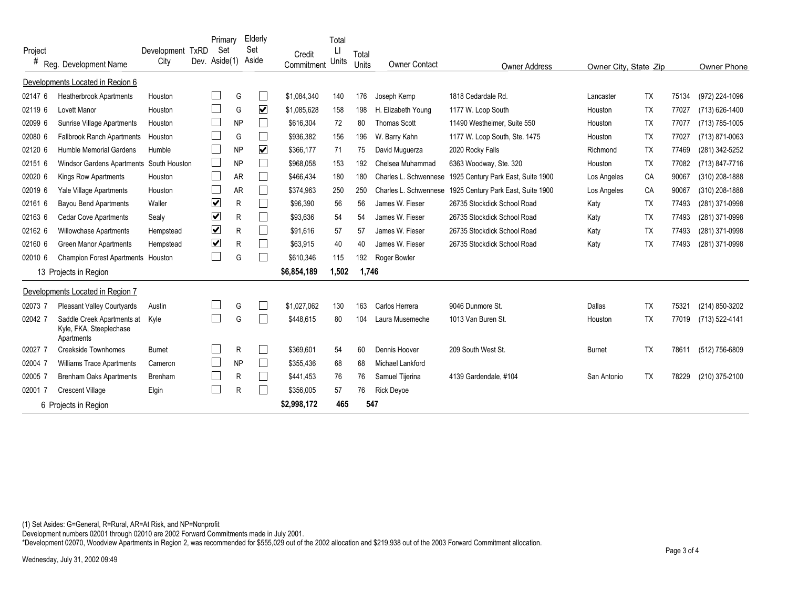| Project               |                                                                     | Development TxRD |  | Primary<br>Set<br>Dev. Aside(1) |           | Elderly<br>Set<br>Aside | Credit      | Total | Total |                       |                                    |                       |           |       |                |
|-----------------------|---------------------------------------------------------------------|------------------|--|---------------------------------|-----------|-------------------------|-------------|-------|-------|-----------------------|------------------------------------|-----------------------|-----------|-------|----------------|
| #                     | Reg. Development Name                                               | City             |  |                                 |           |                         | Commitment  | Units | Units | <b>Owner Contact</b>  | <b>Owner Address</b>               | Owner City, State Zip |           |       | Owner Phone    |
|                       | Developments Located in Region 6                                    |                  |  |                                 |           |                         |             |       |       |                       |                                    |                       |           |       |                |
| 02147 6               | <b>Heatherbrook Apartments</b>                                      | Houston          |  |                                 | G         | $\Box$                  | \$1,084,340 | 140   | 176   | Joseph Kemp           | 1818 Cedardale Rd.                 | Lancaster             | <b>TX</b> | 75134 | (972) 224-1096 |
| 02119 6               | Lovett Manor                                                        | Houston          |  |                                 | G         | $\overline{\mathbf{v}}$ | \$1,085,628 | 158   | 198   | H. Elizabeth Young    | 1177 W. Loop South                 | Houston               | <b>TX</b> | 77027 | (713) 626-1400 |
| 02099 6               | Sunrise Village Apartments                                          | Houston          |  |                                 | <b>NP</b> | $\Box$                  | \$616,304   | 72    | 80    | <b>Thomas Scott</b>   | 11490 Westheimer, Suite 550        | Houston               | <b>TX</b> | 77077 | (713) 785-1005 |
| 02080 6               | <b>Fallbrook Ranch Apartments</b>                                   | Houston          |  |                                 | G         | ⊔                       | \$936,382   | 156   | 196   | W. Barry Kahn         | 1177 W. Loop South, Ste. 1475      | Houston               | <b>TX</b> | 77027 | (713) 871-0063 |
| 02120 6               | <b>Humble Memorial Gardens</b>                                      | Humble           |  |                                 | <b>NP</b> | $\overline{\mathbf{v}}$ | \$366,177   | 71    | 75    | David Muguerza        | 2020 Rocky Falls                   | Richmond              | <b>TX</b> | 77469 | (281) 342-5252 |
| 02151 6               | Windsor Gardens Apartments South Houston                            |                  |  | L                               | <b>NP</b> | $\Box$                  | \$968,058   | 153   | 192   | Chelsea Muhammad      | 6363 Woodway, Ste. 320             | Houston               | <b>TX</b> | 77082 | (713) 847-7716 |
| 02020 6               | Kings Row Apartments                                                | Houston          |  |                                 | <b>AR</b> | $\Box$                  | \$466,434   | 180   | 180   | Charles L. Schwennese | 1925 Century Park East, Suite 1900 | Los Angeles           | CA        | 90067 | (310) 208-1888 |
| 02019 6               | Yale Village Apartments                                             | Houston          |  |                                 | <b>AR</b> | $\Box$                  | \$374,963   | 250   | 250   | Charles L. Schwennese | 1925 Century Park East, Suite 1900 | Los Angeles           | CA        | 90067 | (310) 208-1888 |
| 02161 6               | <b>Bayou Bend Apartments</b>                                        | Waller           |  | $\blacktriangledown$            | R         |                         | \$96,390    | 56    | 56    | James W. Fieser       | 26735 Stockdick School Road        | Katy                  | <b>TX</b> | 77493 | (281) 371-0998 |
| 02163 6               | <b>Cedar Cove Apartments</b>                                        | Sealy            |  | $\blacktriangledown$            | R         |                         | \$93.636    | 54    | 54    | James W. Fieser       | 26735 Stockdick School Road        | Katy                  | <b>TX</b> | 77493 | (281) 371-0998 |
| 02162 6               | <b>Willowchase Apartments</b>                                       | Hempstead        |  | ☑                               | R         | $\Box$                  | \$91,616    | 57    | 57    | James W. Fieser       | 26735 Stockdick School Road        | Katy                  | <b>TX</b> | 77493 | (281) 371-0998 |
| 02160 6               | <b>Green Manor Apartments</b>                                       | Hempstead        |  | ☑                               | R         | $\Box$                  | \$63,915    | 40    | 40    | James W. Fieser       | 26735 Stockdick School Road        | Katy                  | TΧ        | 77493 | (281) 371-0998 |
| 02010 6               | Champion Forest Apartments Houston                                  |                  |  | $\Box$                          | G         |                         | \$610,346   | 115   | 192   | Roger Bowler          |                                    |                       |           |       |                |
| 13 Projects in Region |                                                                     |                  |  |                                 |           |                         | \$6,854,189 | 1,502 | 1,746 |                       |                                    |                       |           |       |                |
|                       | Developments Located in Region 7                                    |                  |  |                                 |           |                         |             |       |       |                       |                                    |                       |           |       |                |
| 02073 7               | Pleasant Valley Courtyards                                          | Austin           |  |                                 | G         |                         | \$1.027.062 | 130   | 163   | Carlos Herrera        | 9046 Dunmore St.                   | Dallas                | <b>TX</b> | 75321 | (214) 850-3202 |
| 02042 7               | Saddle Creek Apartments at<br>Kyle, FKA, Steeplechase<br>Apartments | Kyle             |  |                                 | G         | ⊔                       | \$448,615   | 80    | 104   | Laura Musemeche       | 1013 Van Buren St.                 | Houston               | <b>TX</b> | 77019 | (713) 522-4141 |
| 02027 7               | <b>Creekside Townhomes</b>                                          | <b>Burnet</b>    |  |                                 | R         | $\Box$                  | \$369,601   | 54    | 60    | Dennis Hoover         | 209 South West St.                 | <b>Burnet</b>         | <b>TX</b> | 78611 | (512) 756-6809 |
| 02004 7               | <b>Williams Trace Apartments</b>                                    | Cameron          |  |                                 | <b>NP</b> | $\Box$                  | \$355.436   | 68    | 68    | Michael Lankford      |                                    |                       |           |       |                |
| 02005 7               | <b>Brenham Oaks Apartments</b>                                      | Brenham          |  |                                 | R         |                         | \$441,453   | 76    | 76    | Samuel Tijerina       | 4139 Gardendale, #104              | San Antonio           | <b>TX</b> | 78229 | (210) 375-2100 |
| 02001                 | <b>Crescent Village</b>                                             | Elgin            |  |                                 | R         |                         | \$356,005   | 57    | 76    | <b>Rick Devoe</b>     |                                    |                       |           |       |                |
| 6 Projects in Region  |                                                                     |                  |  |                                 |           |                         | \$2,998,172 | 465   | 547   |                       |                                    |                       |           |       |                |

(1) Set Asides: G=General, R=Rural, AR=At Risk, and NP=Nonprofit

Development numbers 02001 through 02010 are 2002 Forward Commitments made in July 2001.